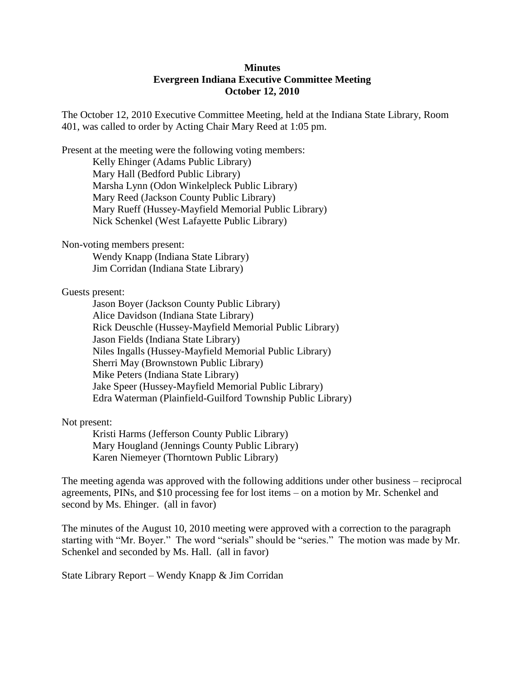## **Minutes Evergreen Indiana Executive Committee Meeting October 12, 2010**

The October 12, 2010 Executive Committee Meeting, held at the Indiana State Library, Room 401, was called to order by Acting Chair Mary Reed at 1:05 pm.

Present at the meeting were the following voting members: Kelly Ehinger (Adams Public Library)

Mary Hall (Bedford Public Library) Marsha Lynn (Odon Winkelpleck Public Library) Mary Reed (Jackson County Public Library) Mary Rueff (Hussey-Mayfield Memorial Public Library) Nick Schenkel (West Lafayette Public Library)

Non-voting members present:

Wendy Knapp (Indiana State Library) Jim Corridan (Indiana State Library)

Guests present:

Jason Boyer (Jackson County Public Library) Alice Davidson (Indiana State Library) Rick Deuschle (Hussey-Mayfield Memorial Public Library) Jason Fields (Indiana State Library) Niles Ingalls (Hussey-Mayfield Memorial Public Library) Sherri May (Brownstown Public Library) Mike Peters (Indiana State Library) Jake Speer (Hussey-Mayfield Memorial Public Library) Edra Waterman (Plainfield-Guilford Township Public Library)

Not present:

Kristi Harms (Jefferson County Public Library) Mary Hougland (Jennings County Public Library) Karen Niemeyer (Thorntown Public Library)

The meeting agenda was approved with the following additions under other business – reciprocal agreements, PINs, and \$10 processing fee for lost items – on a motion by Mr. Schenkel and second by Ms. Ehinger. (all in favor)

The minutes of the August 10, 2010 meeting were approved with a correction to the paragraph starting with "Mr. Boyer." The word "serials" should be "series." The motion was made by Mr. Schenkel and seconded by Ms. Hall. (all in favor)

State Library Report – Wendy Knapp & Jim Corridan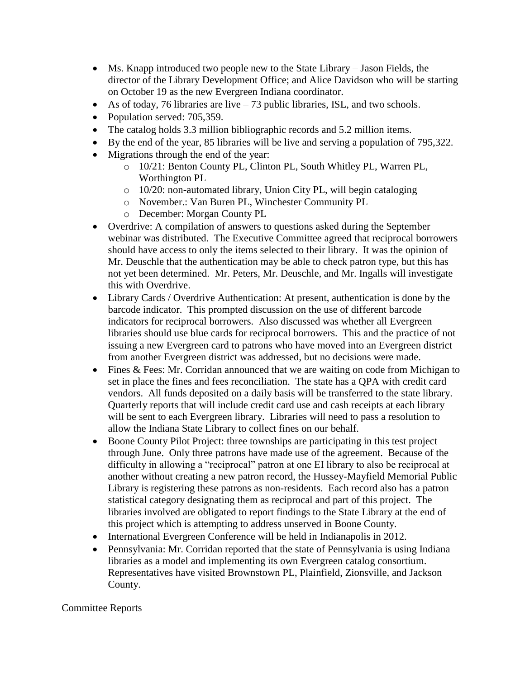- Ms. Knapp introduced two people new to the State Library Jason Fields, the director of the Library Development Office; and Alice Davidson who will be starting on October 19 as the new Evergreen Indiana coordinator.
- As of today, 76 libraries are live  $-73$  public libraries, ISL, and two schools.
- Population served: 705,359.
- The catalog holds 3.3 million bibliographic records and 5.2 million items.
- By the end of the year, 85 libraries will be live and serving a population of 795,322.
- Migrations through the end of the year:
	- o 10/21: Benton County PL, Clinton PL, South Whitley PL, Warren PL, Worthington PL
	- o 10/20: non-automated library, Union City PL, will begin cataloging
	- o November.: Van Buren PL, Winchester Community PL
	- o December: Morgan County PL
- Overdrive: A compilation of answers to questions asked during the September webinar was distributed. The Executive Committee agreed that reciprocal borrowers should have access to only the items selected to their library. It was the opinion of Mr. Deuschle that the authentication may be able to check patron type, but this has not yet been determined. Mr. Peters, Mr. Deuschle, and Mr. Ingalls will investigate this with Overdrive.
- Library Cards / Overdrive Authentication: At present, authentication is done by the barcode indicator. This prompted discussion on the use of different barcode indicators for reciprocal borrowers. Also discussed was whether all Evergreen libraries should use blue cards for reciprocal borrowers. This and the practice of not issuing a new Evergreen card to patrons who have moved into an Evergreen district from another Evergreen district was addressed, but no decisions were made.
- Fines & Fees: Mr. Corridan announced that we are waiting on code from Michigan to set in place the fines and fees reconciliation. The state has a QPA with credit card vendors. All funds deposited on a daily basis will be transferred to the state library. Quarterly reports that will include credit card use and cash receipts at each library will be sent to each Evergreen library. Libraries will need to pass a resolution to allow the Indiana State Library to collect fines on our behalf.
- Boone County Pilot Project: three townships are participating in this test project through June. Only three patrons have made use of the agreement. Because of the difficulty in allowing a "reciprocal" patron at one EI library to also be reciprocal at another without creating a new patron record, the Hussey-Mayfield Memorial Public Library is registering these patrons as non-residents. Each record also has a patron statistical category designating them as reciprocal and part of this project. The libraries involved are obligated to report findings to the State Library at the end of this project which is attempting to address unserved in Boone County.
- International Evergreen Conference will be held in Indianapolis in 2012.
- Pennsylvania: Mr. Corridan reported that the state of Pennsylvania is using Indiana libraries as a model and implementing its own Evergreen catalog consortium. Representatives have visited Brownstown PL, Plainfield, Zionsville, and Jackson County.

## Committee Reports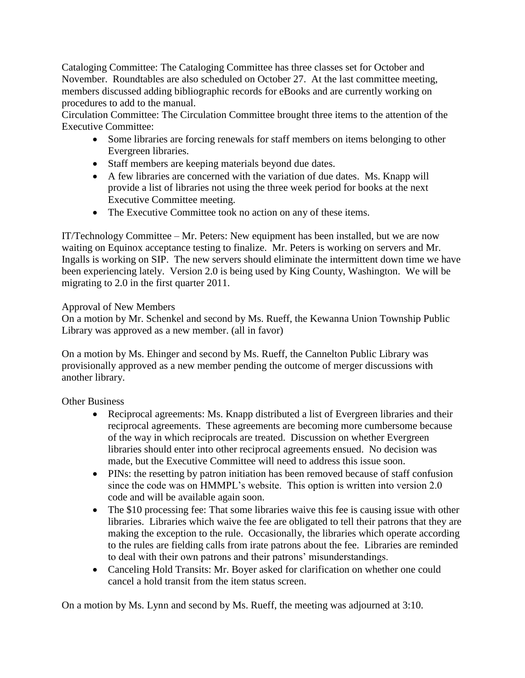Cataloging Committee: The Cataloging Committee has three classes set for October and November. Roundtables are also scheduled on October 27. At the last committee meeting, members discussed adding bibliographic records for eBooks and are currently working on procedures to add to the manual.

Circulation Committee: The Circulation Committee brought three items to the attention of the Executive Committee:

- Some libraries are forcing renewals for staff members on items belonging to other Evergreen libraries.
- Staff members are keeping materials beyond due dates.
- A few libraries are concerned with the variation of due dates. Ms. Knapp will provide a list of libraries not using the three week period for books at the next Executive Committee meeting.
- The Executive Committee took no action on any of these items.

IT/Technology Committee – Mr. Peters: New equipment has been installed, but we are now waiting on Equinox acceptance testing to finalize. Mr. Peters is working on servers and Mr. Ingalls is working on SIP. The new servers should eliminate the intermittent down time we have been experiencing lately. Version 2.0 is being used by King County, Washington. We will be migrating to 2.0 in the first quarter 2011.

## Approval of New Members

On a motion by Mr. Schenkel and second by Ms. Rueff, the Kewanna Union Township Public Library was approved as a new member. (all in favor)

On a motion by Ms. Ehinger and second by Ms. Rueff, the Cannelton Public Library was provisionally approved as a new member pending the outcome of merger discussions with another library.

Other Business

- Reciprocal agreements: Ms. Knapp distributed a list of Evergreen libraries and their reciprocal agreements. These agreements are becoming more cumbersome because of the way in which reciprocals are treated. Discussion on whether Evergreen libraries should enter into other reciprocal agreements ensued. No decision was made, but the Executive Committee will need to address this issue soon.
- PINs: the resetting by patron initiation has been removed because of staff confusion since the code was on HMMPL's website. This option is written into version 2.0 code and will be available again soon.
- The \$10 processing fee: That some libraries waive this fee is causing issue with other libraries. Libraries which waive the fee are obligated to tell their patrons that they are making the exception to the rule. Occasionally, the libraries which operate according to the rules are fielding calls from irate patrons about the fee. Libraries are reminded to deal with their own patrons and their patrons' misunderstandings.
- Canceling Hold Transits: Mr. Boyer asked for clarification on whether one could cancel a hold transit from the item status screen.

On a motion by Ms. Lynn and second by Ms. Rueff, the meeting was adjourned at 3:10.